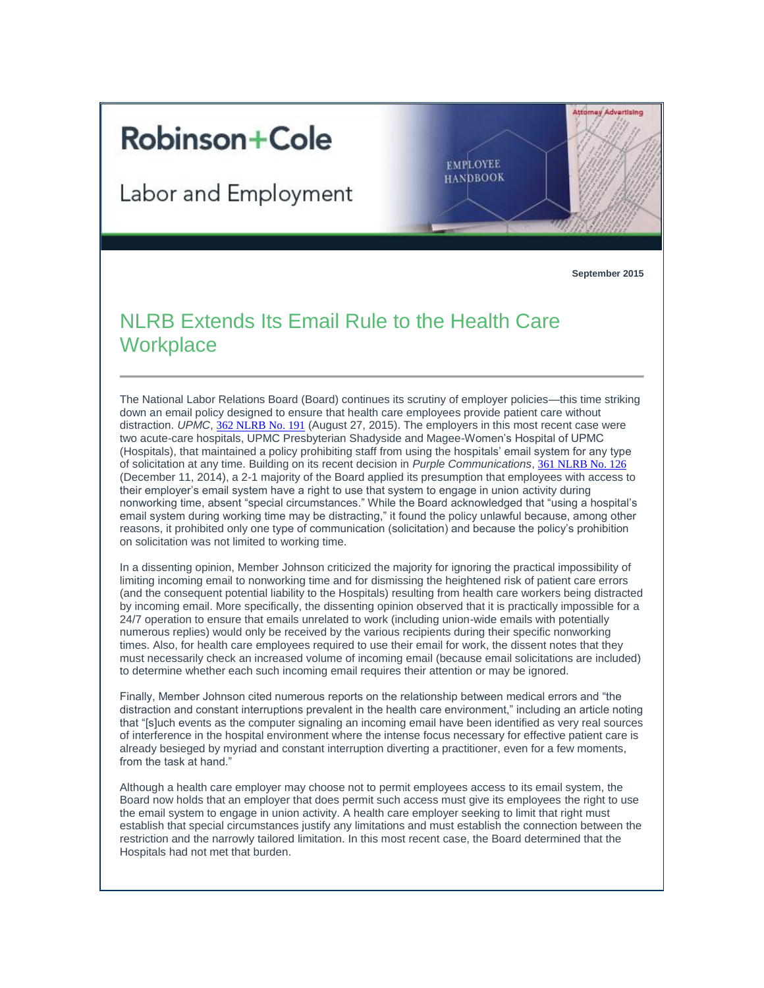## **Robinson+Cole**

Labor and Employment

**September 2015**

**Attorney Advertising** 

**EMPLOYEE HANDBOOK** 

## NLRB Extends Its Email Rule to the Health Care **Workplace**

The National Labor Relations Board (Board) continues its scrutiny of employer policies—this time striking down an email policy designed to ensure that health care employees provide patient care without distraction. *UPMC*, [362 NLRB No. 191](http://t2806904.omkt.co/track.aspx?id=402|2AD478|6F10|54A3|C90|0|12E4|1|38E8D323&destination=http%3a%2f%2fapps.nlrb.gov%2flink%2fdocument.aspx%2f09031d4581da0669&dchk=40CD218D) (August 27, 2015). The employers in this most recent case were two acute-care hospitals, UPMC Presbyterian Shadyside and Magee-Women's Hospital of UPMC (Hospitals), that maintained a policy prohibiting staff from using the hospitals' email system for any type of solicitation at any time. Building on its recent decision in *Purple Communications*, [361 NLRB No. 126](http://t2806904.omkt.co/track.aspx?id=402|2AD478|6F10|54A3|C90|0|12E5|1|38E8D323&destination=http%3a%2f%2fapps.nlrb.gov%2flink%2fdocument.aspx%2f09031d45819e22c9&dchk=4C04CB03) (December 11, 2014), a 2-1 majority of the Board applied its presumption that employees with access to their employer's email system have a right to use that system to engage in union activity during nonworking time, absent "special circumstances." While the Board acknowledged that "using a hospital's email system during working time may be distracting," it found the policy unlawful because, among other reasons, it prohibited only one type of communication (solicitation) and because the policy's prohibition on solicitation was not limited to working time.

In a dissenting opinion, Member Johnson criticized the majority for ignoring the practical impossibility of limiting incoming email to nonworking time and for dismissing the heightened risk of patient care errors (and the consequent potential liability to the Hospitals) resulting from health care workers being distracted by incoming email. More specifically, the dissenting opinion observed that it is practically impossible for a 24/7 operation to ensure that emails unrelated to work (including union-wide emails with potentially numerous replies) would only be received by the various recipients during their specific nonworking times. Also, for health care employees required to use their email for work, the dissent notes that they must necessarily check an increased volume of incoming email (because email solicitations are included) to determine whether each such incoming email requires their attention or may be ignored.

Finally, Member Johnson cited numerous reports on the relationship between medical errors and "the distraction and constant interruptions prevalent in the health care environment," including an article noting that "[s]uch events as the computer signaling an incoming email have been identified as very real sources of interference in the hospital environment where the intense focus necessary for effective patient care is already besieged by myriad and constant interruption diverting a practitioner, even for a few moments, from the task at hand."

Although a health care employer may choose not to permit employees access to its email system, the Board now holds that an employer that does permit such access must give its employees the right to use the email system to engage in union activity. A health care employer seeking to limit that right must establish that special circumstances justify any limitations and must establish the connection between the restriction and the narrowly tailored limitation. In this most recent case, the Board determined that the Hospitals had not met that burden.